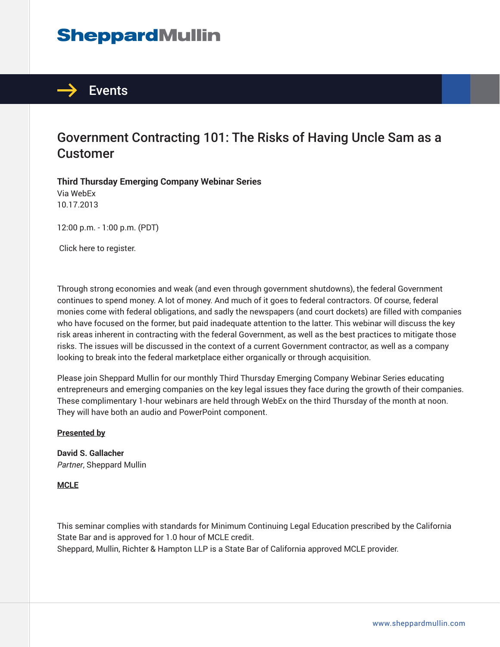# **SheppardMullin**



## Government Contracting 101: The Risks of Having Uncle Sam as a Customer

**Third Thursday Emerging Company Webinar Series** Via WebEx 10.17.2013

12:00 p.m. - 1:00 p.m. (PDT)

Click here to register.

Through strong economies and weak (and even through government shutdowns), the federal Government continues to spend money. A lot of money. And much of it goes to federal contractors. Of course, federal monies come with federal obligations, and sadly the newspapers (and court dockets) are filled with companies who have focused on the former, but paid inadequate attention to the latter. This webinar will discuss the key risk areas inherent in contracting with the federal Government, as well as the best practices to mitigate those risks. The issues will be discussed in the context of a current Government contractor, as well as a company looking to break into the federal marketplace either organically or through acquisition.

Please join Sheppard Mullin for our monthly Third Thursday Emerging Company Webinar Series educating entrepreneurs and emerging companies on the key legal issues they face during the growth of their companies. These complimentary 1-hour webinars are held through WebEx on the third Thursday of the month at noon. They will have both an audio and PowerPoint component.

#### **Presented by**

**David S. Gallacher** *Partner*, Sheppard Mullin

**MCLE**

This seminar complies with standards for Minimum Continuing Legal Education prescribed by the California State Bar and is approved for 1.0 hour of MCLE credit. Sheppard, Mullin, Richter & Hampton LLP is a State Bar of California approved MCLE provider.